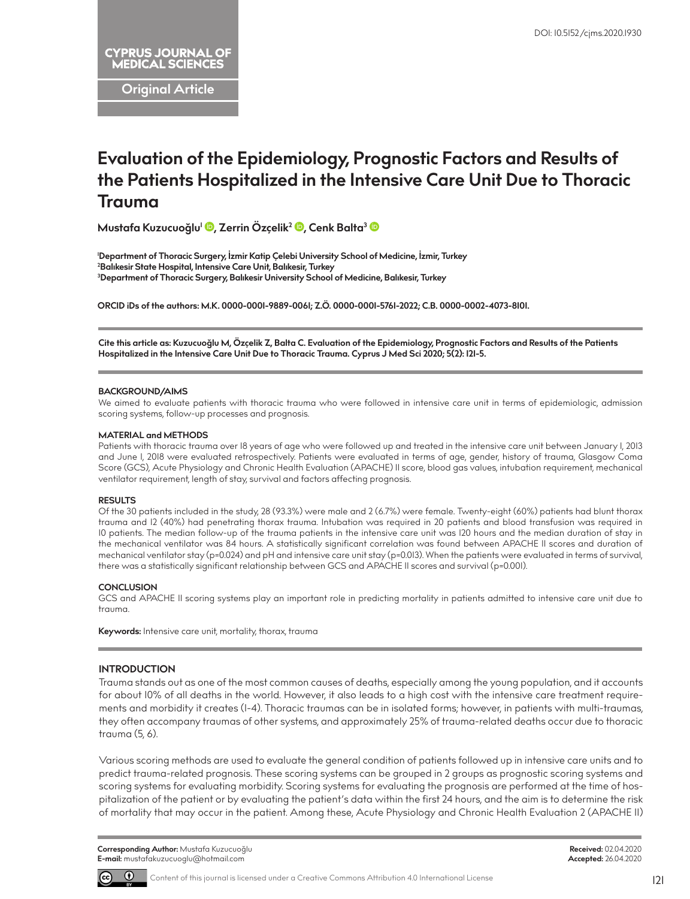**Original Article**

# **Evaluation of the Epidemiology, Prognostic Factors and Results of the Patients Hospitalized in the Intensive Care Unit Due to Thoracic Trauma**

**Mustafa Kuzucuoğlu1 [,](http://orcid.org/0000-0001-9889-0061) Zerrin Özçelik2 [,](http://orcid.org/0000-0001-5761-2022) Cenk Balta[3](http://orcid.org/0000-0002-4073-8101)**

**1 Department of Thoracic Surgery, İzmir Katip Çelebi University School of Medicine, İzmir, Turkey 2 Balıkesir State Hospital, Intensive Care Unit, Balıkesir, Turkey 3 Department of Thoracic Surgery, Balıkesir University School of Medicine, Balıkesir, Turkey**

**ORCID iDs of the authors: M.K. 0000-0001-9889-0061; Z.Ö. 0000-0001-5761-2022; C.B. 0000-0002-4073-8101.**

**Cite this article as: Kuzucuoğlu M, Özçelik Z, Balta C. Evaluation of the Epidemiology, Prognostic Factors and Results of the Patients Hospitalized in the Intensive Care Unit Due to Thoracic Trauma. Cyprus J Med Sci 2020; 5(2): 121-5.**

#### **BACKGROUND/AIMS**

We aimed to evaluate patients with thoracic trauma who were followed in intensive care unit in terms of epidemiologic, admission scoring systems, follow-up processes and prognosis.

#### **MATERIAL and METHODS**

Patients with thoracic trauma over 18 years of age who were followed up and treated in the intensive care unit between January 1, 2013 and June 1, 2018 were evaluated retrospectively. Patients were evaluated in terms of age, gender, history of trauma, Glasgow Coma Score (GCS), Acute Physiology and Chronic Health Evaluation (APACHE) II score, blood gas values, intubation requirement, mechanical ventilator requirement, length of stay, survival and factors affecting prognosis.

#### **RESULTS**

Of the 30 patients included in the study, 28 (93.3%) were male and 2 (6.7%) were female. Twenty-eight (60%) patients had blunt thorax trauma and 12 (40%) had penetrating thorax trauma. Intubation was required in 20 patients and blood transfusion was required in 10 patients. The median follow-up of the trauma patients in the intensive care unit was 120 hours and the median duration of stay in the mechanical ventilator was 84 hours. A statistically significant correlation was found between APACHE II scores and duration of mechanical ventilator stay (p=0.024) and pH and intensive care unit stay (p=0.013). When the patients were evaluated in terms of survival, there was a statistically significant relationship between GCS and APACHE II scores and survival (p=0.001).

#### **CONCLUSION**

GCS and APACHE II scoring systems play an important role in predicting mortality in patients admitted to intensive care unit due to trauma.

**Keywords:** Intensive care unit, mortality, thorax, trauma

## **INTRODUCTION**

Trauma stands out as one of the most common causes of deaths, especially among the young population, and it accounts for about 10% of all deaths in the world. However, it also leads to a high cost with the intensive care treatment requirements and morbidity it creates (1-4). Thoracic traumas can be in isolated forms; however, in patients with multi-traumas, they often accompany traumas of other systems, and approximately 25% of trauma-related deaths occur due to thoracic trauma (5, 6).

Various scoring methods are used to evaluate the general condition of patients followed up in intensive care units and to predict trauma-related prognosis. These scoring systems can be grouped in 2 groups as prognostic scoring systems and scoring systems for evaluating morbidity. Scoring systems for evaluating the prognosis are performed at the time of hospitalization of the patient or by evaluating the patient's data within the first 24 hours, and the aim is to determine the risk of mortality that may occur in the patient. Among these, Acute Physiology and Chronic Health Evaluation 2 (APACHE II)



Content of this journal is licensed under a Creative Commons Attribution 4.0 International License

121

**Received:** 02.04.2020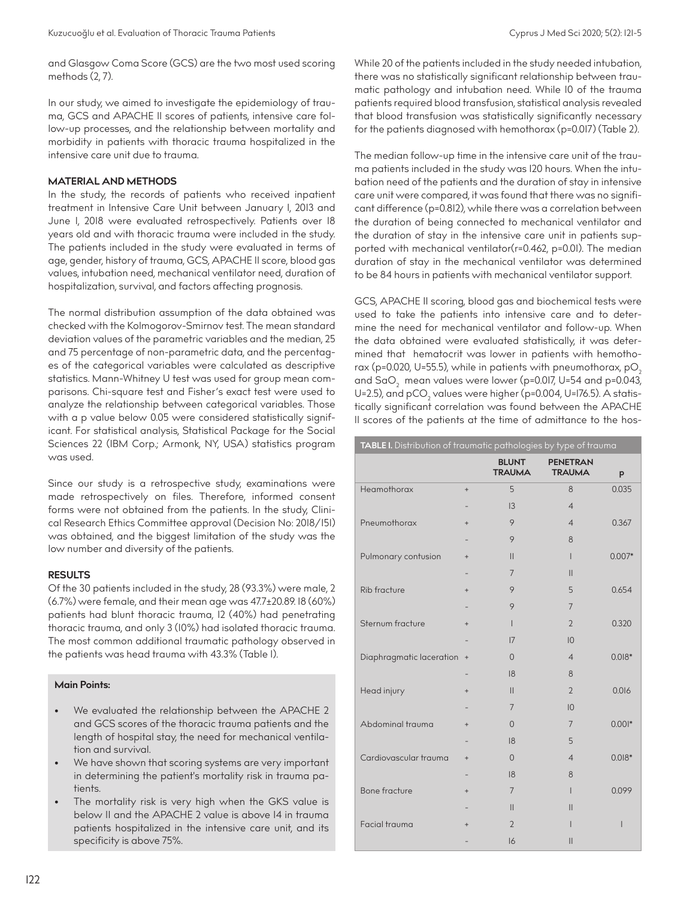and Glasgow Coma Score (GCS) are the two most used scoring methods (2, 7).

In our study, we aimed to investigate the epidemiology of trauma, GCS and APACHE II scores of patients, intensive care follow-up processes, and the relationship between mortality and morbidity in patients with thoracic trauma hospitalized in the intensive care unit due to trauma.

#### **MATERIAL AND METHODS**

In the study, the records of patients who received inpatient treatment in Intensive Care Unit between January 1, 2013 and June 1, 2018 were evaluated retrospectively. Patients over 18 years old and with thoracic trauma were included in the study. The patients included in the study were evaluated in terms of age, gender, history of trauma, GCS, APACHE II score, blood gas values, intubation need, mechanical ventilator need, duration of hospitalization, survival, and factors affecting prognosis.

The normal distribution assumption of the data obtained was checked with the Kolmogorov-Smirnov test. The mean standard deviation values of the parametric variables and the median, 25 and 75 percentage of non-parametric data, and the percentages of the categorical variables were calculated as descriptive statistics. Mann-Whitney U test was used for group mean comparisons. Chi-square test and Fisher's exact test were used to analyze the relationship between categorical variables. Those with a p value below 0.05 were considered statistically significant. For statistical analysis, Statistical Package for the Social Sciences 22 (IBM Corp.; Armonk, NY, USA) statistics program was used.

Since our study is a retrospective study, examinations were made retrospectively on files. Therefore, informed consent forms were not obtained from the patients. In the study, Clinical Research Ethics Committee approval (Decision No: 2018/151) was obtained, and the biggest limitation of the study was the low number and diversity of the patients.

#### **RESULTS**

Of the 30 patients included in the study, 28 (93.3%) were male, 2 (6.7%) were female, and their mean age was 47.7±20.89. 18 (60%) patients had blunt thoracic trauma, 12 (40%) had penetrating thoracic trauma, and only 3 (10%) had isolated thoracic trauma. The most common additional traumatic pathology observed in the patients was head trauma with 43.3% (Table 1).

# **Main Points:**

- We evaluated the relationship between the APACHE 2 and GCS scores of the thoracic trauma patients and the length of hospital stay, the need for mechanical ventilation and survival.
- We have shown that scoring systems are very important in determining the patient's mortality risk in trauma patients.
- The mortality risk is very high when the GKS value is below 11 and the APACHE 2 value is above 14 in trauma patients hospitalized in the intensive care unit, and its specificity is above 75%.

While 20 of the patients included in the study needed intubation, there was no statistically significant relationship between traumatic pathology and intubation need. While 10 of the trauma patients required blood transfusion, statistical analysis revealed that blood transfusion was statistically significantly necessary for the patients diagnosed with hemothorax (p=0.017) (Table 2).

The median follow-up time in the intensive care unit of the trauma patients included in the study was 120 hours. When the intubation need of the patients and the duration of stay in intensive care unit were compared, it was found that there was no significant difference (p=0.812), while there was a correlation between the duration of being connected to mechanical ventilator and the duration of stay in the intensive care unit in patients supported with mechanical ventilator(r=0.462, p=0.01). The median duration of stay in the mechanical ventilator was determined to be 84 hours in patients with mechanical ventilator support.

GCS, APACHE II scoring, blood gas and biochemical tests were used to take the patients into intensive care and to determine the need for mechanical ventilator and follow-up. When the data obtained were evaluated statistically, it was determined that hematocrit was lower in patients with hemothorax (p=0.020, U=55.5), while in patients with pneumothorax,  $pO<sub>2</sub>$ and  $\text{SaO}_2^-$  mean values were lower (p=0.017, U=54 and p=0.043, U=2.5), and pCO $_2$  values were higher (p=0.004, U=176.5). A statistically significant correlation was found between the APACHE II scores of the patients at the time of admittance to the hos-

| TABLE I. Distribution of traumatic pathologies by type of trauma |           |                               |                                  |              |  |  |
|------------------------------------------------------------------|-----------|-------------------------------|----------------------------------|--------------|--|--|
|                                                                  |           | <b>BLUNT</b><br><b>TRAUMA</b> | <b>PENETRAN</b><br><b>TRAUMA</b> | p            |  |  |
| Heamothorax                                                      | $\ddot{}$ | 5                             | 8                                | 0.035        |  |  |
|                                                                  |           | 3                             | $\overline{4}$                   |              |  |  |
| Pneumothorax                                                     | $\ddot{}$ | 9                             | $\overline{4}$                   | 0.367        |  |  |
|                                                                  |           | 9                             | 8                                |              |  |  |
| Pulmonary contusion                                              | $^{+}$    | $\mathbf{I}$                  | $\mathsf{I}$                     | $0.007*$     |  |  |
|                                                                  |           | 7                             | $\mathbf{II}$                    |              |  |  |
| Rib fracture                                                     | $\ddot{}$ | 9                             | 5                                | 0.654        |  |  |
|                                                                  |           | 9                             | $\overline{7}$                   |              |  |  |
| Sternum fracture                                                 | $^{+}$    | $\mathbf{I}$                  | $\overline{2}$                   | 0.320        |  |  |
|                                                                  |           | 17                            | $ 0\rangle$                      |              |  |  |
| Diaphragmatic laceration                                         | $\ddot{}$ | $\Omega$                      | $\overline{4}$                   | $0.018*$     |  |  |
|                                                                  |           | 18                            | 8                                |              |  |  |
| Head injury                                                      | $^{+}$    | $\mathbf{I}$                  | $\overline{2}$                   | 0.016        |  |  |
|                                                                  |           | 7                             | 10                               |              |  |  |
| Abdominal trauma                                                 | $^{+}$    | $\Omega$                      | $\overline{7}$                   | $0.001*$     |  |  |
|                                                                  |           | 18                            | 5                                |              |  |  |
| Cardiovascular trauma                                            | $\ddot{}$ | $\Omega$                      | $\overline{4}$                   | $0.018*$     |  |  |
|                                                                  |           | 18                            | 8                                |              |  |  |
| Bone fracture                                                    | $^{+}$    | $\overline{7}$                | $\mathsf{I}$                     | 0.099        |  |  |
|                                                                  |           | $\mathbf{I}$                  | $\mathbf{II}$                    |              |  |  |
| Facial trauma                                                    | $^{+}$    | $\overline{2}$                | ı                                | $\mathsf{I}$ |  |  |
|                                                                  |           | 16                            | $\mathbf{II}$                    |              |  |  |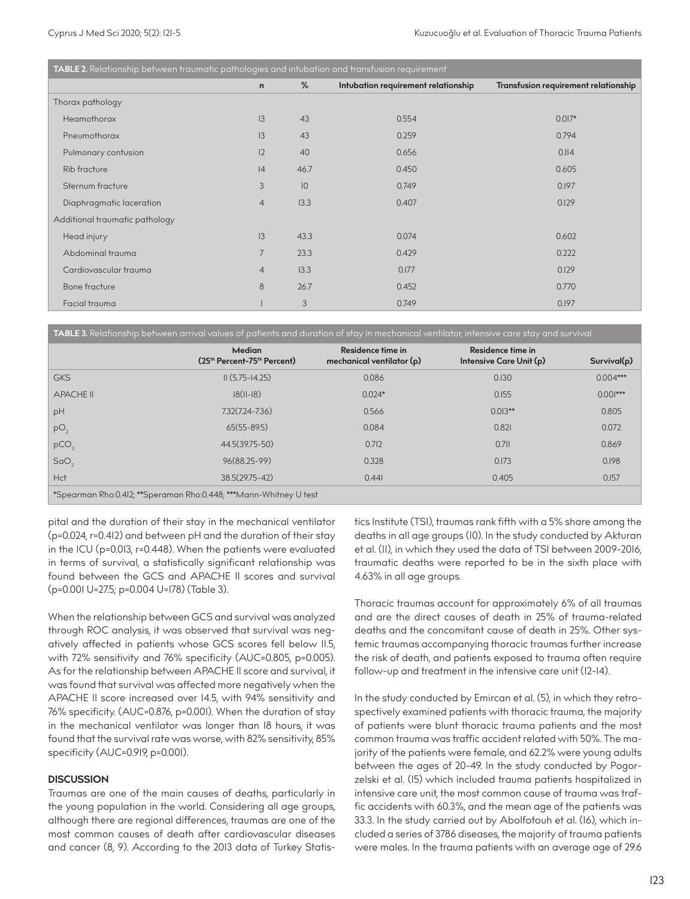| TABLE 2. Relationship between traumatic pathologies and intubation and transfusion requirement |                |             |                                     |                                      |  |  |  |  |
|------------------------------------------------------------------------------------------------|----------------|-------------|-------------------------------------|--------------------------------------|--|--|--|--|
|                                                                                                | $\mathsf{n}$   | %           | Intubation requirement relationship | Transfusion requirement relationship |  |  |  |  |
| Thorax pathology                                                                               |                |             |                                     |                                      |  |  |  |  |
| Heamothorax                                                                                    | 3              | 43          | 0.554                               | $0.017*$                             |  |  |  |  |
| Pneumothorax                                                                                   | 13             | 43          | 0.259                               | 0.794                                |  |  |  |  |
| Pulmonary contusion                                                                            | 12             | 40          | 0.656                               | 0.114                                |  |  |  |  |
| Rib fracture                                                                                   | 4              | 46.7        | 0.450                               | 0.605                                |  |  |  |  |
| Sternum fracture                                                                               | 3              | $ 0\rangle$ | 0.749                               | 0.197                                |  |  |  |  |
| Diaphragmatic laceration                                                                       | $\overline{4}$ | 13.3        | 0.407                               | 0.129                                |  |  |  |  |
| Additional traumatic pathology                                                                 |                |             |                                     |                                      |  |  |  |  |
| Head injury                                                                                    | 13             | 43.3        | 0.074                               | 0.602                                |  |  |  |  |
| Abdominal trauma                                                                               | $\overline{7}$ | 23.3        | 0.429                               | 0.222                                |  |  |  |  |
| Cardiovascular trauma                                                                          | $\overline{4}$ | 13.3        | 0.177                               | 0.129                                |  |  |  |  |
| Bone fracture                                                                                  | 8              | 26.7        | 0.452                               | 0.770                                |  |  |  |  |
| Facial trauma                                                                                  |                | 3           | 0.749                               | 0.197                                |  |  |  |  |

**TABLE 3.** Relationship between arrival values of patients and duration of stay in mechanical ventilator, intensive care stay and survival

|                                                                   | <b>Median</b><br>(25 <sup>th</sup> Percent-75 <sup>th</sup> Percent) | Residence time in<br>mechanical ventilator (p) | Residence time in<br>Intensive Care Unit (p) | Survival(p) |  |  |  |
|-------------------------------------------------------------------|----------------------------------------------------------------------|------------------------------------------------|----------------------------------------------|-------------|--|--|--|
| <b>GKS</b>                                                        | $II(5.75 - 14.25)$                                                   | 0.086                                          | 0.130                                        | $0.004***$  |  |  |  |
| <b>APACHE II</b>                                                  | $ 8(  - 8)$                                                          | $0.024*$                                       | 0.155                                        | $0.001***$  |  |  |  |
| pH                                                                | $7.32(7.24 - 7.36)$                                                  | 0.566                                          | $0.013***$                                   | 0.805       |  |  |  |
| pO <sub>2</sub>                                                   | $65(55 - 89.5)$                                                      | 0.084                                          | 0.821                                        | 0.072       |  |  |  |
| pCO                                                               | 44.5(39.75-50)                                                       | 0.712                                          | $0.7$ II                                     | 0.869       |  |  |  |
| SaO <sub>2</sub>                                                  | 96(88.25-99)                                                         | 0.328                                          | 0.173                                        | 0.198       |  |  |  |
| Hct                                                               | 38.5(29.75-42)                                                       | 0.441                                          | 0.405                                        | 0.157       |  |  |  |
| *Spearman Rho:0.412; **Speraman Rho:0.448; ***Mann-Whitney U test |                                                                      |                                                |                                              |             |  |  |  |

pital and the duration of their stay in the mechanical ventilator (p=0.024, r=0.412) and between pH and the duration of their stay in the ICU (p=0.013, r=0.448). When the patients were evaluated in terms of survival, a statistically significant relationship was found between the GCS and APACHE II scores and survival (p=0.001 U=27.5; p=0.004 U=178) (Table 3).

When the relationship between GCS and survival was analyzed through ROC analysis, it was observed that survival was negatively affected in patients whose GCS scores fell below 11.5, with 72% sensitivity and 76% specificity (AUC=0.805, p=0.005). As for the relationship between APACHE II score and survival, it was found that survival was affected more negatively when the APACHE II score increased over 14.5, with 94% sensitivity and 76% specificity. (AUC=0.876, p=0.001). When the duration of stay in the mechanical ventilator was longer than 18 hours, it was found that the survival rate was worse, with 82% sensitivity, 85% specificity (AUC=0.919, p=0.001).

## **DISCUSSION**

Traumas are one of the main causes of deaths, particularly in the young population in the world. Considering all age groups, although there are regional differences, traumas are one of the most common causes of death after cardiovascular diseases and cancer (8, 9). According to the 2013 data of Turkey Statistics Institute (TSI), traumas rank fifth with a 5% share among the deaths in all age groups (10). In the study conducted by Akturan et al. (11), in which they used the data of TSI between 2009-2016, traumatic deaths were reported to be in the sixth place with 4.63% in all age groups.

Thoracic traumas account for approximately 6% of all traumas and are the direct causes of death in 25% of trauma-related deaths and the concomitant cause of death in 25%. Other systemic traumas accompanying thoracic traumas further increase the risk of death, and patients exposed to trauma often require follow-up and treatment in the intensive care unit (12-14).

In the study conducted by Emircan et al. (5), in which they retrospectively examined patients with thoracic trauma, the majority of patients were blunt thoracic trauma patients and the most common trauma was traffic accident related with 50%. The majority of the patients were female, and 62.2% were young adults between the ages of 20-49. In the study conducted by Pogorzelski et al. (15) which included trauma patients hospitalized in intensive care unit, the most common cause of trauma was traffic accidents with 60.3%, and the mean age of the patients was 33.3. In the study carried out by Abolfotouh et al. (16), which included a series of 3786 diseases, the majority of trauma patients were males. In the trauma patients with an average age of 29.6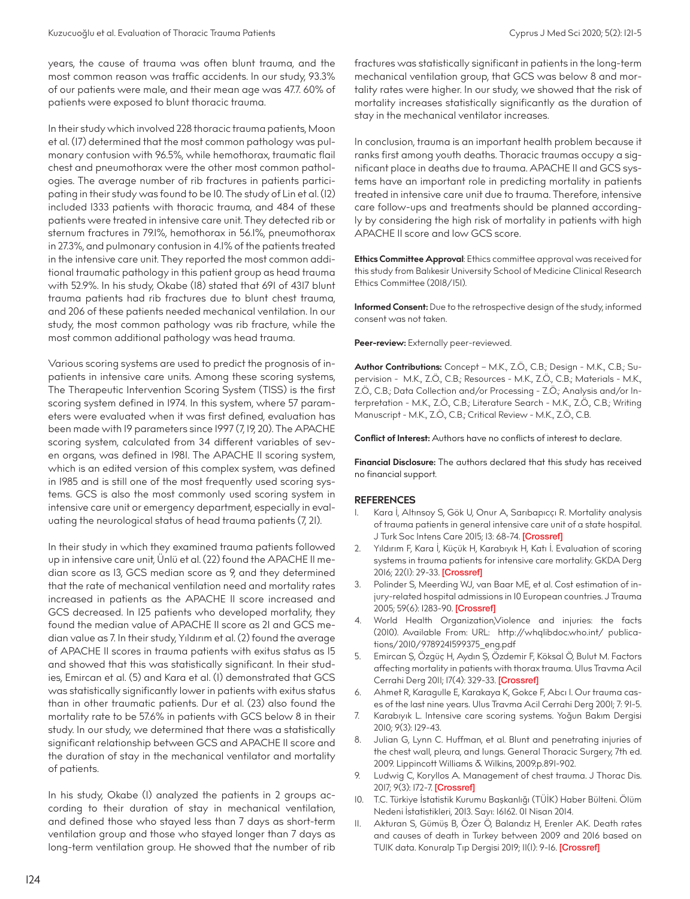years, the cause of trauma was often blunt trauma, and the most common reason was traffic accidents. In our study, 93.3% of our patients were male, and their mean age was 47.7. 60% of patients were exposed to blunt thoracic trauma.

In their study which involved 228 thoracic trauma patients, Moon et al. (17) determined that the most common pathology was pulmonary contusion with 96.5%, while hemothorax, traumatic flail chest and pneumothorax were the other most common pathologies. The average number of rib fractures in patients participating in their study was found to be 10. The study of Lin et al. (12) included 1333 patients with thoracic trauma, and 484 of these patients were treated in intensive care unit. They detected rib or sternum fractures in 79.1%, hemothorax in 56.1%, pneumothorax in 27.3%, and pulmonary contusion in 4.1% of the patients treated in the intensive care unit. They reported the most common additional traumatic pathology in this patient group as head trauma with 52.9%. In his study, Okabe (18) stated that 691 of 4317 blunt trauma patients had rib fractures due to blunt chest trauma, and 206 of these patients needed mechanical ventilation. In our study, the most common pathology was rib fracture, while the most common additional pathology was head trauma.

Various scoring systems are used to predict the prognosis of inpatients in intensive care units. Among these scoring systems, The Therapeutic Intervention Scoring System (TISS) is the first scoring system defined in 1974. In this system, where 57 parameters were evaluated when it was first defined, evaluation has been made with 19 parameters since 1997 (7, 19, 20). The APACHE scoring system, calculated from 34 different variables of seven organs, was defined in 1981. The APACHE II scoring system, which is an edited version of this complex system, was defined in 1985 and is still one of the most frequently used scoring systems. GCS is also the most commonly used scoring system in intensive care unit or emergency department, especially in evaluating the neurological status of head trauma patients (7, 21).

In their study in which they examined trauma patients followed up in intensive care unit, Ünlü et al. (22) found the APACHE II median score as 13, GCS median score as 9, and they determined that the rate of mechanical ventilation need and mortality rates increased in patients as the APACHE II score increased and GCS decreased. In 125 patients who developed mortality, they found the median value of APACHE II score as 21 and GCS median value as 7. In their study, Yıldırım et al. (2) found the average of APACHE II scores in trauma patients with exitus status as 15 and showed that this was statistically significant. In their studies, Emircan et al. (5) and Kara et al. (1) demonstrated that GCS was statistically significantly lower in patients with exitus status than in other traumatic patients. Dur et al. (23) also found the mortality rate to be 57.6% in patients with GCS below 8 in their study. In our study, we determined that there was a statistically significant relationship between GCS and APACHE II score and the duration of stay in the mechanical ventilator and mortality of patients.

In his study, Okabe (1) analyzed the patients in 2 groups according to their duration of stay in mechanical ventilation, and defined those who stayed less than 7 days as short-term ventilation group and those who stayed longer than 7 days as long-term ventilation group. He showed that the number of rib fractures was statistically significant in patients in the long-term mechanical ventilation group, that GCS was below 8 and mortality rates were higher. In our study, we showed that the risk of mortality increases statistically significantly as the duration of stay in the mechanical ventilator increases.

In conclusion, trauma is an important health problem because it ranks first among youth deaths. Thoracic traumas occupy a significant place in deaths due to trauma. APACHE II and GCS systems have an important role in predicting mortality in patients treated in intensive care unit due to trauma. Therefore, intensive care follow-ups and treatments should be planned accordingly by considering the high risk of mortality in patients with high APACHE II score and low GCS score.

**Ethics Committee Approval**: Ethics committee approval was received for this study from Balıkesir University School of Medicine Clinical Research Ethics Committee (2018/151).

**Informed Consent:** Due to the retrospective design of the study, informed consent was not taken.

Peer-review: Externally peer-reviewed.

**Author Contributions:** Concept – M.K., Z.Ö., C.B.; Design - M.K., C.B.; Supervision - M.K., Z.Ö., C.B.; Resources - M.K., Z.Ö., C.B.; Materials - M.K., Z.Ö., C.B.; Data Collection and/or Processing - Z.Ö.; Analysis and/or Interpretation - M.K., Z.Ö., C.B.; Literature Search - M.K., Z.Ö., C.B.; Writing Manuscript - M.K., Z.Ö., C.B.; Critical Review - M.K., Z.Ö., C.B.

**Conflict of Interest:** Authors have no conflicts of interest to declare.

**Financial Disclosure:** The authors declared that this study has received no financial support.

#### **REFERENCES**

- 1. Kara İ, Altınsoy S, Gök U, Onur A, Sarıbapıcçı R. Mortality analysis of trauma patients in general intensive care unit of a state hospital. J Turk Soc Intens Care 2015; 13: 68-74. [[Crossref\]](https://doi.org/10.4274/tybdd.54154)
- 2. Yıldırım F, Kara İ, Küçük H, Karabıyık H, Katı İ. Evaluation of scoring systems in trauma patients for intensive care mortality. GKDA Derg 2016; 22(1): 29-33. [[Crossref\]](https://doi.org/10.5222/GKDAD.2016.029)
- 3. Polinder S, Meerding WJ, van Baar ME, et al. Cost estimation of injury-related hospital admissions in 10 European countries. J Trauma 2005; 59(6): 1283-90. [[Crossref\]](https://doi.org/10.1097/01.ta.0000195998.11304.5b)
- 4. World Health Organization,Violence and injuries: the facts (2010). Available From: URL: http://whqlibdoc.who.int/ publications/2010/9789241599375\_eng.pdf
- 5. Emircan Ş, Özgüç H, Aydın Ş, Özdemir F, Köksal Ö, Bulut M. Factors affecting mortality in patients with thorax trauma. Ulus Travma Acil Cerrahi Derg 2011; 17(4): 329-33. [[Crossref\]](https://doi.org/10.5505/tjtes.2011.76158)
- 6. Ahmet R, Karagulle E, Karakaya K, Gokce F, Abcı I. Our trauma cases of the last nine years. Ulus Travma Acil Cerrahi Derg 2001; 7: 91-5.
- 7. Karabıyık L. Intensive care scoring systems. Yoğun Bakım Dergisi 2010; 9(3): 129-43.
- 8. Julian G, Lynn C. Huffman, et al. Blunt and penetrating injuries of the chest wall, pleura, and lungs. General Thoracic Surgery, 7th ed. 2009. Lippincott Williams & Wilkins, 2009.p.891-902.
- Ludwig C, Koryllos A. Management of chest trauma. J Thorac Dis. 2017; 9(3): 172-7. [\[Crossref](https://doi.org/10.21037/jtd.2017.03.52)]
- 10. T.C. Türkiye İstatistik Kurumu Başkanlığı (TÜİK) Haber Bülteni. Ölüm Nedeni İstatistikleri, 2013. Sayı: 16162. 01 Nisan 2014.
- 11. Akturan S, Gümüş B, Özer Ö, Balandız H, Erenler AK. Death rates and causes of death in Turkey between 2009 and 2016 based on TUIK data. Konuralp Tıp Dergisi 2019; II(I): 9-16. [[Crossref\]](https://doi.org/10.18521/ktd.506407)